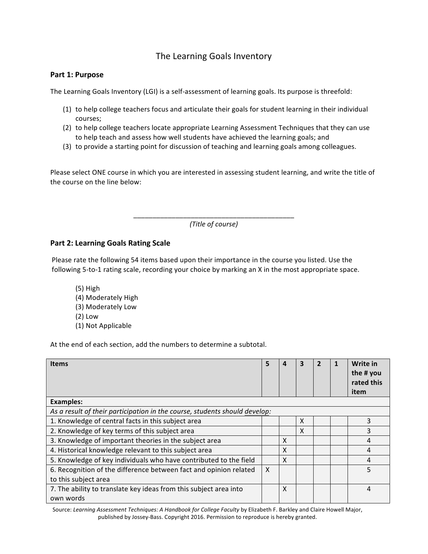# The Learning Goals Inventory

#### Part 1: Purpose

The Learning Goals Inventory (LGI) is a self-assessment of learning goals. Its purpose is threefold:

- (1) to help college teachers focus and articulate their goals for student learning in their individual courses;
- (2) to help college teachers locate appropriate Learning Assessment Techniques that they can use to help teach and assess how well students have achieved the learning goals; and
- (3) to provide a starting point for discussion of teaching and learning goals among colleagues.

Please select ONE course in which you are interested in assessing student learning, and write the title of the course on the line below:

> \_\_\_\_\_\_\_\_\_\_\_\_\_\_\_\_\_\_\_\_\_\_\_\_\_\_\_\_\_\_\_\_\_\_\_\_\_\_\_\_\_\_ *(Title of course)*

### **Part 2: Learning Goals Rating Scale**

Please rate the following 54 items based upon their importance in the course you listed. Use the following 5-to-1 rating scale, recording your choice by marking an X in the most appropriate space.

 $(5)$  High (4) Moderately High (3) Moderately Low  $(2)$  Low (1) Not Applicable

At the end of each section, add the numbers to determine a subtotal.

| <b>Items</b>                                                                   | 5 |   | 3 |  | Write in<br>the # you<br>rated this<br>item |
|--------------------------------------------------------------------------------|---|---|---|--|---------------------------------------------|
| <b>Examples:</b>                                                               |   |   |   |  |                                             |
| As a result of their participation in the course, students should develop:     |   |   |   |  |                                             |
| 1. Knowledge of central facts in this subject area                             |   |   | X |  | 3                                           |
| 2. Knowledge of key terms of this subject area                                 |   |   | X |  | 3                                           |
| 3. Knowledge of important theories in the subject area                         |   | X |   |  | 4                                           |
| 4. Historical knowledge relevant to this subject area                          |   | X |   |  | 4                                           |
| 5. Knowledge of key individuals who have contributed to the field              |   | X |   |  | 4                                           |
| 6. Recognition of the difference between fact and opinion related              |   |   |   |  | 5                                           |
| to this subject area                                                           |   |   |   |  |                                             |
| 7. The ability to translate key ideas from this subject area into<br>own words |   | X |   |  | 4                                           |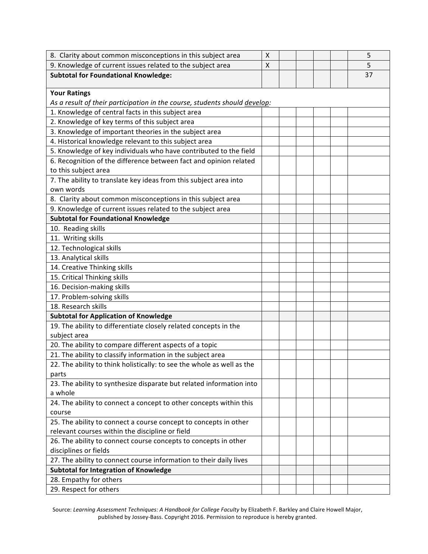| 8. Clarity about common misconceptions in this subject area                | X |  |  | 5  |  |  |  |
|----------------------------------------------------------------------------|---|--|--|----|--|--|--|
| 9. Knowledge of current issues related to the subject area                 | X |  |  | 5  |  |  |  |
| <b>Subtotal for Foundational Knowledge:</b>                                |   |  |  | 37 |  |  |  |
|                                                                            |   |  |  |    |  |  |  |
| <b>Your Ratings</b>                                                        |   |  |  |    |  |  |  |
| As a result of their participation in the course, students should develop: |   |  |  |    |  |  |  |
| 1. Knowledge of central facts in this subject area                         |   |  |  |    |  |  |  |
| 2. Knowledge of key terms of this subject area                             |   |  |  |    |  |  |  |
| 3. Knowledge of important theories in the subject area                     |   |  |  |    |  |  |  |
| 4. Historical knowledge relevant to this subject area                      |   |  |  |    |  |  |  |
| 5. Knowledge of key individuals who have contributed to the field          |   |  |  |    |  |  |  |
| 6. Recognition of the difference between fact and opinion related          |   |  |  |    |  |  |  |
| to this subject area                                                       |   |  |  |    |  |  |  |
| 7. The ability to translate key ideas from this subject area into          |   |  |  |    |  |  |  |
| own words                                                                  |   |  |  |    |  |  |  |
| 8. Clarity about common misconceptions in this subject area                |   |  |  |    |  |  |  |
| 9. Knowledge of current issues related to the subject area                 |   |  |  |    |  |  |  |
| <b>Subtotal for Foundational Knowledge</b>                                 |   |  |  |    |  |  |  |
| 10. Reading skills                                                         |   |  |  |    |  |  |  |
| 11. Writing skills                                                         |   |  |  |    |  |  |  |
| 12. Technological skills                                                   |   |  |  |    |  |  |  |
| 13. Analytical skills                                                      |   |  |  |    |  |  |  |
| 14. Creative Thinking skills                                               |   |  |  |    |  |  |  |
| 15. Critical Thinking skills                                               |   |  |  |    |  |  |  |
| 16. Decision-making skills                                                 |   |  |  |    |  |  |  |
| 17. Problem-solving skills                                                 |   |  |  |    |  |  |  |
| 18. Research skills                                                        |   |  |  |    |  |  |  |
| <b>Subtotal for Application of Knowledge</b>                               |   |  |  |    |  |  |  |
| 19. The ability to differentiate closely related concepts in the           |   |  |  |    |  |  |  |
| subject area                                                               |   |  |  |    |  |  |  |
| 20. The ability to compare different aspects of a topic                    |   |  |  |    |  |  |  |
| 21. The ability to classify information in the subject area                |   |  |  |    |  |  |  |
| 22. The ability to think holistically: to see the whole as well as the     |   |  |  |    |  |  |  |
| parts                                                                      |   |  |  |    |  |  |  |
| 23. The ability to synthesize disparate but related information into       |   |  |  |    |  |  |  |
| a whole                                                                    |   |  |  |    |  |  |  |
| 24. The ability to connect a concept to other concepts within this         |   |  |  |    |  |  |  |
| course                                                                     |   |  |  |    |  |  |  |
| 25. The ability to connect a course concept to concepts in other           |   |  |  |    |  |  |  |
| relevant courses within the discipline or field                            |   |  |  |    |  |  |  |
| 26. The ability to connect course concepts to concepts in other            |   |  |  |    |  |  |  |
| disciplines or fields                                                      |   |  |  |    |  |  |  |
| 27. The ability to connect course information to their daily lives         |   |  |  |    |  |  |  |
| Subtotal for Integration of Knowledge                                      |   |  |  |    |  |  |  |
| 28. Empathy for others                                                     |   |  |  |    |  |  |  |
| 29. Respect for others                                                     |   |  |  |    |  |  |  |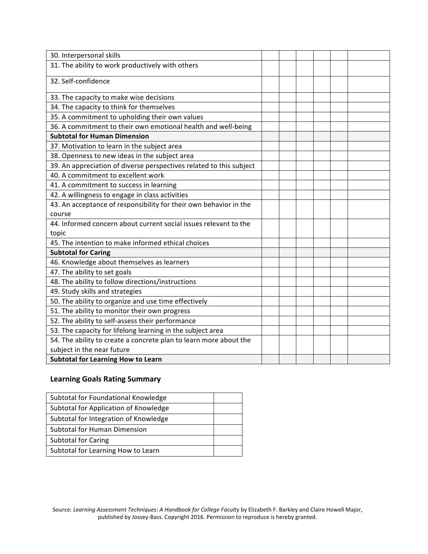| 30. Interpersonal skills                                            |  |  |  |
|---------------------------------------------------------------------|--|--|--|
| 31. The ability to work productively with others                    |  |  |  |
| 32. Self-confidence                                                 |  |  |  |
| 33. The capacity to make wise decisions                             |  |  |  |
| 34. The capacity to think for themselves                            |  |  |  |
| 35. A commitment to upholding their own values                      |  |  |  |
| 36. A commitment to their own emotional health and well-being       |  |  |  |
| <b>Subtotal for Human Dimension</b>                                 |  |  |  |
| 37. Motivation to learn in the subject area                         |  |  |  |
| 38. Openness to new ideas in the subject area                       |  |  |  |
| 39. An appreciation of diverse perspectives related to this subject |  |  |  |
| 40. A commitment to excellent work                                  |  |  |  |
| 41. A commitment to success in learning                             |  |  |  |
| 42. A willingness to engage in class activities                     |  |  |  |
| 43. An acceptance of responsibility for their own behavior in the   |  |  |  |
| course                                                              |  |  |  |
| 44. Informed concern about current social issues relevant to the    |  |  |  |
| topic                                                               |  |  |  |
| 45. The intention to make informed ethical choices                  |  |  |  |
| <b>Subtotal for Caring</b>                                          |  |  |  |
| 46. Knowledge about themselves as learners                          |  |  |  |
| 47. The ability to set goals                                        |  |  |  |
| 48. The ability to follow directions/instructions                   |  |  |  |
| 49. Study skills and strategies                                     |  |  |  |
| 50. The ability to organize and use time effectively                |  |  |  |
| 51. The ability to monitor their own progress                       |  |  |  |
| 52. The ability to self-assess their performance                    |  |  |  |
| 53. The capacity for lifelong learning in the subject area          |  |  |  |
| 54. The ability to create a concrete plan to learn more about the   |  |  |  |
| subject in the near future                                          |  |  |  |
| <b>Subtotal for Learning How to Learn</b>                           |  |  |  |

## **Learning Goals Rating Summary**

| Subtotal for Foundational Knowledge   |  |
|---------------------------------------|--|
| Subtotal for Application of Knowledge |  |
| Subtotal for Integration of Knowledge |  |
| Subtotal for Human Dimension          |  |
| <b>Subtotal for Caring</b>            |  |
| Subtotal for Learning How to Learn    |  |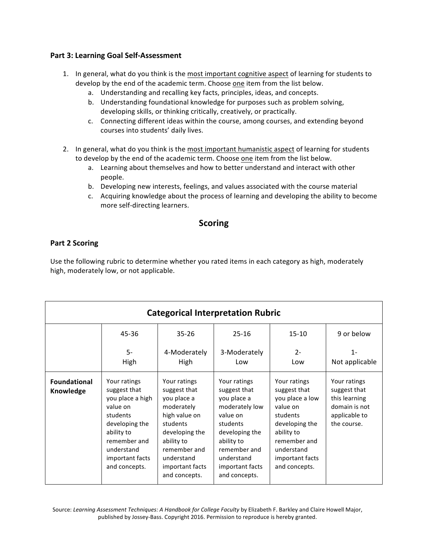## **Part 3: Learning Goal Self-Assessment**

- 1. In general, what do you think is the most important cognitive aspect of learning for students to develop by the end of the academic term. Choose one item from the list below.
	- a. Understanding and recalling key facts, principles, ideas, and concepts.
	- b. Understanding foundational knowledge for purposes such as problem solving, developing skills, or thinking critically, creatively, or practically.
	- c. Connecting different ideas within the course, among courses, and extending beyond courses into students' daily lives.
- 2. In general, what do you think is the most important humanistic aspect of learning for students to develop by the end of the academic term. Choose one item from the list below.
	- a. Learning about themselves and how to better understand and interact with other people.
	- b. Developing new interests, feelings, and values associated with the course material
	- c. Acquiring knowledge about the process of learning and developing the ability to become more self-directing learners.

## **Scoring**

## **Part 2 Scoring**

Use the following rubric to determine whether you rated items in each category as high, moderately high, moderately low, or not applicable.

| <b>Categorical Interpretation Rubric</b> |                                                                                                                                                                            |                                                                                                                                                                                          |                                                                                                                                                                                         |                                                                                                                                                                           |                                                                                                |  |  |  |
|------------------------------------------|----------------------------------------------------------------------------------------------------------------------------------------------------------------------------|------------------------------------------------------------------------------------------------------------------------------------------------------------------------------------------|-----------------------------------------------------------------------------------------------------------------------------------------------------------------------------------------|---------------------------------------------------------------------------------------------------------------------------------------------------------------------------|------------------------------------------------------------------------------------------------|--|--|--|
|                                          | 45-36                                                                                                                                                                      | $35 - 26$                                                                                                                                                                                | $25 - 16$                                                                                                                                                                               | $15 - 10$                                                                                                                                                                 | 9 or below                                                                                     |  |  |  |
|                                          | $5-$<br>High                                                                                                                                                               | 4-Moderately<br>High                                                                                                                                                                     | 3-Moderately<br>Low                                                                                                                                                                     | $2 -$<br>Low                                                                                                                                                              | $1 -$<br>Not applicable                                                                        |  |  |  |
| <b>Foundational</b><br>Knowledge         | Your ratings<br>suggest that<br>you place a high<br>value on<br>students<br>developing the<br>ability to<br>remember and<br>understand<br>important facts<br>and concepts. | Your ratings<br>suggest that<br>you place a<br>moderately<br>high value on<br>students<br>developing the<br>ability to<br>remember and<br>understand<br>important facts<br>and concepts. | Your ratings<br>suggest that<br>you place a<br>moderately low<br>value on<br>students<br>developing the<br>ability to<br>remember and<br>understand<br>important facts<br>and concepts. | Your ratings<br>suggest that<br>you place a low<br>value on<br>students<br>developing the<br>ability to<br>remember and<br>understand<br>important facts<br>and concepts. | Your ratings<br>suggest that<br>this learning<br>domain is not<br>applicable to<br>the course. |  |  |  |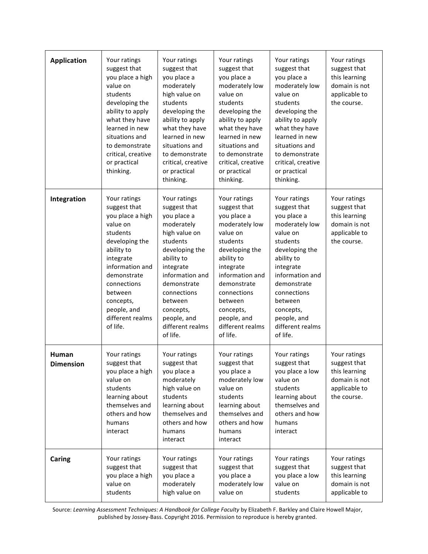| <b>Application</b>        | Your ratings<br>suggest that<br>you place a high<br>value on<br>students<br>developing the<br>ability to apply<br>what they have<br>learned in new<br>situations and<br>to demonstrate<br>critical, creative<br>or practical<br>thinking.     | Your ratings<br>suggest that<br>you place a<br>moderately<br>high value on<br>students<br>developing the<br>ability to apply<br>what they have<br>learned in new<br>situations and<br>to demonstrate<br>critical, creative<br>or practical<br>thinking.     | Your ratings<br>suggest that<br>you place a<br>moderately low<br>value on<br>students<br>developing the<br>ability to apply<br>what they have<br>learned in new<br>situations and<br>to demonstrate<br>critical, creative<br>or practical<br>thinking.     | Your ratings<br>suggest that<br>you place a<br>moderately low<br>value on<br>students<br>developing the<br>ability to apply<br>what they have<br>learned in new<br>situations and<br>to demonstrate<br>critical, creative<br>or practical<br>thinking.     | Your ratings<br>suggest that<br>this learning<br>domain is not<br>applicable to<br>the course. |
|---------------------------|-----------------------------------------------------------------------------------------------------------------------------------------------------------------------------------------------------------------------------------------------|-------------------------------------------------------------------------------------------------------------------------------------------------------------------------------------------------------------------------------------------------------------|------------------------------------------------------------------------------------------------------------------------------------------------------------------------------------------------------------------------------------------------------------|------------------------------------------------------------------------------------------------------------------------------------------------------------------------------------------------------------------------------------------------------------|------------------------------------------------------------------------------------------------|
| Integration               | Your ratings<br>suggest that<br>you place a high<br>value on<br>students<br>developing the<br>ability to<br>integrate<br>information and<br>demonstrate<br>connections<br>between<br>concepts,<br>people, and<br>different realms<br>of life. | Your ratings<br>suggest that<br>you place a<br>moderately<br>high value on<br>students<br>developing the<br>ability to<br>integrate<br>information and<br>demonstrate<br>connections<br>between<br>concepts,<br>people, and<br>different realms<br>of life. | Your ratings<br>suggest that<br>you place a<br>moderately low<br>value on<br>students<br>developing the<br>ability to<br>integrate<br>information and<br>demonstrate<br>connections<br>between<br>concepts,<br>people, and<br>different realms<br>of life. | Your ratings<br>suggest that<br>you place a<br>moderately low<br>value on<br>students<br>developing the<br>ability to<br>integrate<br>information and<br>demonstrate<br>connections<br>between<br>concepts,<br>people, and<br>different realms<br>of life. | Your ratings<br>suggest that<br>this learning<br>domain is not<br>applicable to<br>the course. |
| Human<br><b>Dimension</b> | Your ratings<br>suggest that<br>you place a high<br>value on<br>students<br>learning about<br>themselves and<br>others and how<br>humans<br>interact                                                                                          | Your ratings<br>suggest that<br>you place a<br>moderately<br>high value on<br>students<br>learning about<br>themselves and<br>others and how<br>humans<br>interact                                                                                          | Your ratings<br>suggest that<br>you place a<br>moderately low<br>value on<br>students<br>learning about<br>themselves and<br>others and how<br>humans<br>interact                                                                                          | Your ratings<br>suggest that<br>you place a low<br>value on<br>students<br>learning about<br>themselves and<br>others and how<br>humans<br>interact                                                                                                        | Your ratings<br>suggest that<br>this learning<br>domain is not<br>applicable to<br>the course. |
| Caring                    | Your ratings<br>suggest that<br>you place a high<br>value on<br>students                                                                                                                                                                      | Your ratings<br>suggest that<br>you place a<br>moderately<br>high value on                                                                                                                                                                                  | Your ratings<br>suggest that<br>you place a<br>moderately low<br>value on                                                                                                                                                                                  | Your ratings<br>suggest that<br>you place a low<br>value on<br>students                                                                                                                                                                                    | Your ratings<br>suggest that<br>this learning<br>domain is not<br>applicable to                |